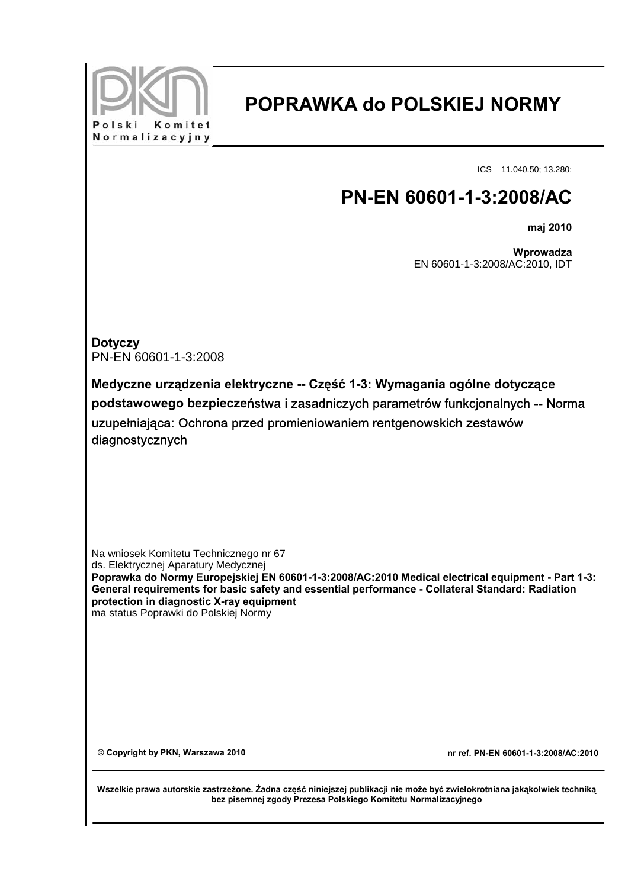

## **POPRAWKA do POLSKIEJ NORMY**

ICS 11.040.50; 13.280;

## **PN-EN 60601-1-3:2008/AC**

**maj 2010**

**Wprowadza** EN 60601-1-3:2008/AC:2010, IDT

**Dotyczy** PN-EN 60601-1-3:2008

**Medyczne urządzenia elektryczne -- Część 1-3: Wymagania ogólne dotyczące podstawowego bezpiecze**ństwa i zasadniczych parametrów funkcjonalnych -- Norma uzupełniająca: Ochrona przed promieniowaniem rentgenowskich zestawów diagnostycznych

Na wniosek Komitetu Technicznego nr 67 ds. Elektrycznej Aparatury Medycznej **Poprawka do Normy Europejskiej EN 60601-1-3:2008/AC:2010 Medical electrical equipment - Part 1-3: General requirements for basic safety and essential performance - Collateral Standard: Radiation protection in diagnostic X-ray equipment** ma status Poprawki do Polskiej Normy

**© Copyright by PKN, Warszawa 2010 nr ref. PN-EN 60601-1-3:2008/AC:2010** 

**Wszelkie prawa autorskie zastrzeżone. Żadna część niniejszej publikacji nie może być zwielokrotniana jakąkolwiek techniką bez pisemnej zgody Prezesa Polskiego Komitetu Normalizacyjnego**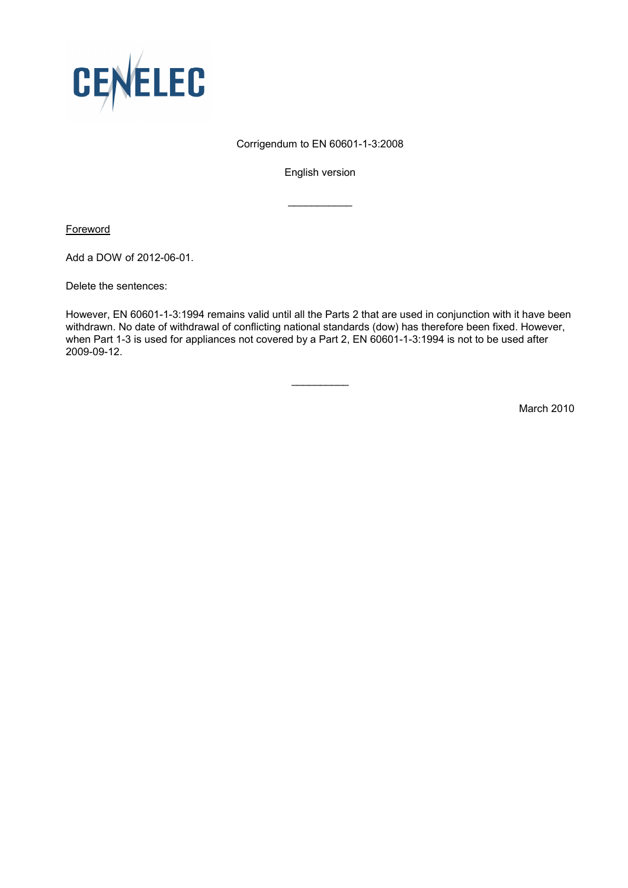

## Corrigendum to EN 60601-1-3:2008

English version

 $\frac{1}{2}$  ,  $\frac{1}{2}$  ,  $\frac{1}{2}$  ,  $\frac{1}{2}$  ,  $\frac{1}{2}$  ,  $\frac{1}{2}$  ,  $\frac{1}{2}$ 

**Foreword** 

Add a DOW of 2012-06-01.

Delete the sentences:

However, EN 60601-1-3:1994 remains valid until all the Parts 2 that are used in conjunction with it have been withdrawn. No date of withdrawal of conflicting national standards (dow) has therefore been fixed. However, when Part 1-3 is used for appliances not covered by a Part 2, EN 60601-1-3:1994 is not to be used after 2009-09-12.

 $\overline{\phantom{a}}$ 

March 2010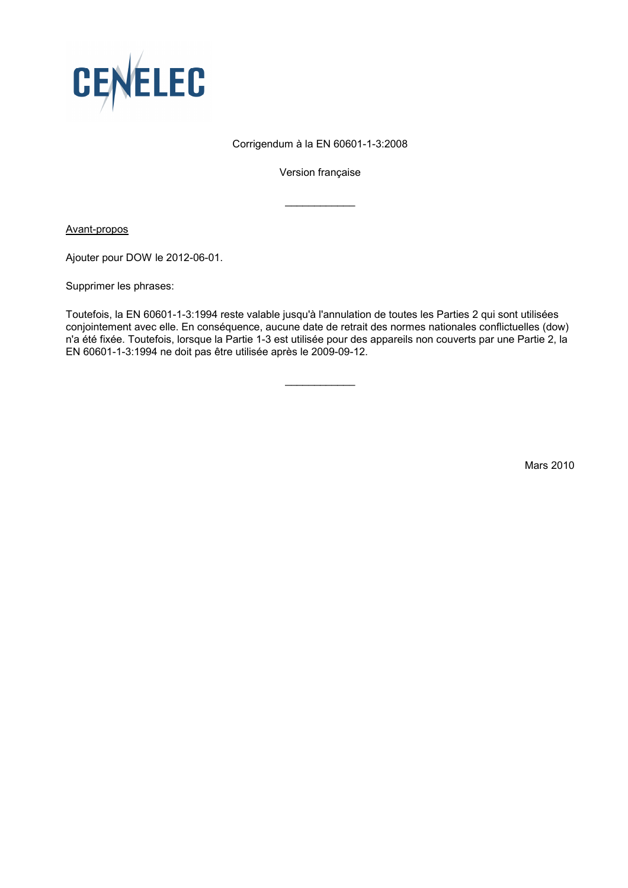

## Corrigendum à la EN 60601-1-3:2008

Version française

 $\frac{1}{2}$  ,  $\frac{1}{2}$  ,  $\frac{1}{2}$  ,  $\frac{1}{2}$  ,  $\frac{1}{2}$  ,  $\frac{1}{2}$  ,  $\frac{1}{2}$ 

Avant-propos

Ajouter pour DOW le 2012-06-01.

Supprimer les phrases:

Toutefois, la EN 60601-1-3:1994 reste valable jusqu'à l'annulation de toutes les Parties 2 qui sont utilisées conjointement avec elle. En conséquence, aucune date de retrait des normes nationales conflictuelles (dow) n'a été fixée. Toutefois, lorsque la Partie 1-3 est utilisée pour des appareils non couverts par une Partie 2, la EN 60601-1-3:1994 ne doit pas être utilisée après le 2009-09-12.

 $\overline{\phantom{a}}$ 

Mars 2010